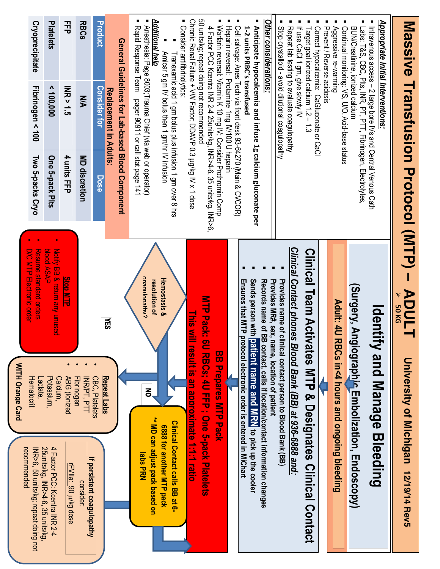| Cryoprecipitate<br>Platelets<br>Fibrinogen < 100<br>< 100,000<br>Two 5-packs Cryo<br>One 5-pack Plts<br><b>SAP ASAP</b>                                                                                                                                                                                                   | <b>Product</b><br><b>RBCs</b><br>괷<br><b>INR&gt;1.5</b><br><b>Consider for</b><br><b>N/A</b><br>4 units FFP<br>MD discretion<br>Dose              | ■ Rapid Response Team<br>General Guidelines for Lab-based Blood Component<br>Replacement in Adults:<br>pager 90911 or call stat page 141 | Additional help<br>■ Consider antificinolytics:<br>Anesthesia: Page 8003;Trauma Chief (via web or operator)<br>Amicar 5 gm IV bolus then 1 gm/hr IV infusion<br>Franexamic acid 1 gm bolus plus infusion 1 gm over 8 hrs | 50 units/kg; repeat doing not recommended<br>Chronic Renal Failure + VW Factor; DDAVP 0.3 µg/kg IV x 1 dose<br>Warfarin reversal: Vitamin K 10 mg IV; Consider Prothromin Comp<br>Heparin reversal: Protamine 1mg IV/100 U heparin<br>4 Pactor PCO Koentra INR 24 25101118/801 INR 24 26 26 1012 2014 | <b>Other considerations:</b><br>Cell salvage: Anes Tech via front desk 93-64270 (Main & CVCOR)<br>1-2 units PRBC's transfused<br>Anticipate hypocalcemia and infuse 1g calcium gluconate per                                                                        | Correct hypocalcemia: CaGluconate or CaCl<br>Stop crystalloid - avoid dilutional coagulopathy<br>Repeat lab testing to evaluate coagulopathy<br>If use CaCl 1 gm, give slowly IV<br>Target goal ionized calcium 1.2 – 1.3 | Prevent / Reverse acidosis<br>Continual monitoring: VS, U/O, Acid-base status<br>Aggressive re-warming<br>Labs: T&S, CBC, Plts, INR, PT, PTT, Fibrinogen, Electrolytes,<br>BUN/Creatinine, ionized calcium | Appropriate Initial Interventions:<br>Intravenous access - 2 large bore IVs and Central Venous Cath | Massive Transfusion Protocol (MTP) -                                 |
|---------------------------------------------------------------------------------------------------------------------------------------------------------------------------------------------------------------------------------------------------------------------------------------------------------------------------|---------------------------------------------------------------------------------------------------------------------------------------------------|------------------------------------------------------------------------------------------------------------------------------------------|--------------------------------------------------------------------------------------------------------------------------------------------------------------------------------------------------------------------------|-------------------------------------------------------------------------------------------------------------------------------------------------------------------------------------------------------------------------------------------------------------------------------------------------------|---------------------------------------------------------------------------------------------------------------------------------------------------------------------------------------------------------------------------------------------------------------------|---------------------------------------------------------------------------------------------------------------------------------------------------------------------------------------------------------------------------|------------------------------------------------------------------------------------------------------------------------------------------------------------------------------------------------------------|-----------------------------------------------------------------------------------------------------|----------------------------------------------------------------------|
| Notify BB & return any unused<br><b>Resume standard orders</b><br>D/C MTP Electronic order<br><b>Stop MTP</b><br><b>WITH Orange Card</b><br>Potassium,<br>Hematocrit<br>Calcium,<br>-actate,<br>25units/kg, INR>4-6, 35 units/kg,<br>4 Factor PCC: Kcentra INR 2-4<br>recommended<br>INR>6, 50 units/kg; repeat doing not | $\bullet$<br>ABG (lonized<br>Fibrinogen<br>CBC, Platelets<br><b>INR/PT, PTT</b><br>If persistent coagulopathy<br>FVIIa: 90 µ/kg dose<br>consider: | ĔЗ<br>Repeat Labs                                                                                                                        | coannlonathv?<br>Hemostasis &<br>resolution of<br>Š<br>** MD can adjust pack based on<br><b>Clinical Contact calls BB at 6-</b><br>6888 for another MTP pack<br><b>Iabs PRN</b>                                          | <b>NTP Pack</b><br><b>This w</b><br>ill result is an approximate 1:1:1 ratio<br>. 6U RBCs; 4U FFP ; One 5-pack Platelets<br><b>BB Prepares MIP Pack</b>                                                                                                                                               | Sends person with<br>Records name of BB contact, calls if location/contact information changes<br>Provides MR#, sex, name, location of patient<br>Ensures that MTP<br>protocol electronic order is entered in MiChart<br>patient name and MRN to pick up the cooler | Clinical Contact phones Blood Bank (BB) at 936-6888 and:<br><b>Clinical Team Act</b><br>Provides name of clinical contact person to Blood Bank (BB)<br>ivates MTP & Designates Clinical Contact                           | Surgery, Angiographic Embolization, Endoscopy)<br>Adult: 4U<br>RBCs in<4 hours and ongoing bleeding                                                                                                        | <b>Identify and Manage Bleeding</b>                                                                 | <b>ADULT</b><br><b>50 KG</b><br>University of Michigan 12/19/14 Rev5 |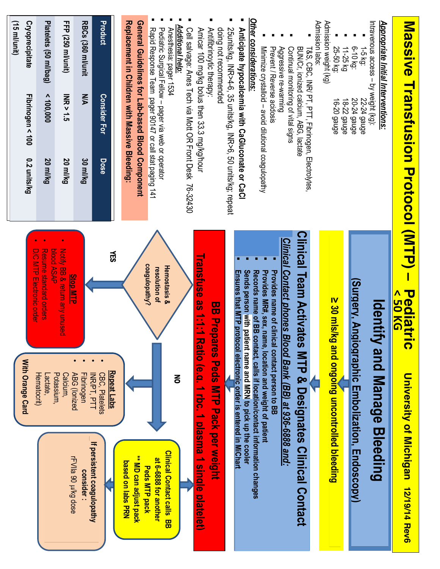| (15 ml/unit)<br>Cryoprecipitate<br>Platelets (50 ml/bag)<br>FFP (250 ml/unit)<br><b>INR&gt;1.5</b><br>Fibrinogen < $100$<br>< 100,000<br>0.2 units/kg<br>20 ml/kg<br>20 ml/kg                                                                                | <b>Product</b><br>RBCs (360 ml/unit<br><b>Consider For</b><br>УN<br>Dose<br>30 ml/kg                                | General Guidelines for Lab-based Blood Component<br>Replacement in Children with Massive Bleeding:<br>Additional help:<br>Rapid Response Team pager 90147 or call stat paging 141<br>Pediatric Surgical Fellow - pager via web or operator<br>Anesthesia: pager 1534<br>Cell salvage: Anes Tech via Mott OR Front Desk 76-32430 | 20 MHziv2G, INHy4-6, 35 units/kg, INHy6, 60 units/kg; repeat<br>doing not recommended<br>Antifibrinoytic therapy:<br>Amicar 100 mg/kg bolus then 33.3 mg/kg/hour                          | Other considerations:<br>Anticipate hypocalcemia with CaGluconate or CaCl<br>Minimize crystalloid - avoid dilutional coagulopathy<br><b>Prevent / Reverse acidosis</b><br>Aggressive re-warming<br>BUN/Cr, ionized calcium, ABG, lactate<br>Continual monitoring of vital signs<br>T&S, CBC, INR/ PT, PTT, Fibrinogen, Electrolytes,                                                           | Admission labs:<br>Admission weight (kg)<br>25-50 kg:<br>11-25 kg<br>16-20 gauge<br>18-22 gauge | Appropriate Initial Interventions:<br>Intravenous access - by weight (kg):<br>$6 - 10$ kg:<br>$1-5$ kg:<br>20-24 gauge<br><b>22-24 gauge</b> | <b>Nassive Hranstusion Protocol (NHP)</b>                                                 |
|--------------------------------------------------------------------------------------------------------------------------------------------------------------------------------------------------------------------------------------------------------------|---------------------------------------------------------------------------------------------------------------------|---------------------------------------------------------------------------------------------------------------------------------------------------------------------------------------------------------------------------------------------------------------------------------------------------------------------------------|-------------------------------------------------------------------------------------------------------------------------------------------------------------------------------------------|------------------------------------------------------------------------------------------------------------------------------------------------------------------------------------------------------------------------------------------------------------------------------------------------------------------------------------------------------------------------------------------------|-------------------------------------------------------------------------------------------------|----------------------------------------------------------------------------------------------------------------------------------------------|-------------------------------------------------------------------------------------------|
| DDOOLASAP<br>Notify BB & return and crited<br>D/C MLP Electoric order<br><b>Resume standard orders</b><br><b>Stop MTP</b><br>With Orange Card<br>$\bullet$<br>Potassium,<br>ABG (lonized<br>Calcium,<br>Hematocrit)<br>Lactate,<br><b>FVIIa 90 p/kg dose</b> | ĔЗ<br>Repeat Labs<br>CBC, Platelets<br>Fibrinogen<br><b>INR/PT, PTT</b><br>If persistent coagulopathy<br>consider : | coagulopathy?<br><b>Hemostasis &amp;</b><br>resolution of<br>る<br><b>Clinical Contact calls</b><br>** MD can adjust pack<br>at 6-6888 for another<br>based on labs PRN<br>Peds MTP pack                                                                                                                                         | Transfuse as 1:1:1 l<br>Ensures that MTP protocol electronic order is entered in MiChart<br><b>BB Prepares Peds NTP Pack per weight</b><br>Aatio (e.g. 1 rbc. 1 plasma 1 single platelet) | Clinical Team Activate<br>Clinical Contact phones Blood Bank (BB) at 936-6888 and:<br>Provides name of clinical contact person to BB<br>Sends person with patient name and MRN to pick up the cooler<br>Provides MR#, sex, name, location and weight of patient<br>Records name of BB contact, calls if location/contact information changes<br><b>S MTP &amp; Designates Clinical Contact</b> | ≧ 30 mls/kg and ongoĭng uncontrolled bleeding                                                   | Surgery, Angiographic Embolization, Endoscopy)<br>ldentify<br>and Manage Bleeding                                                            | <b>Pediatri</b><br>^ 50 KG<br>$\mathbf \Omega$<br>University of Michigan<br>12/19/14 Rev6 |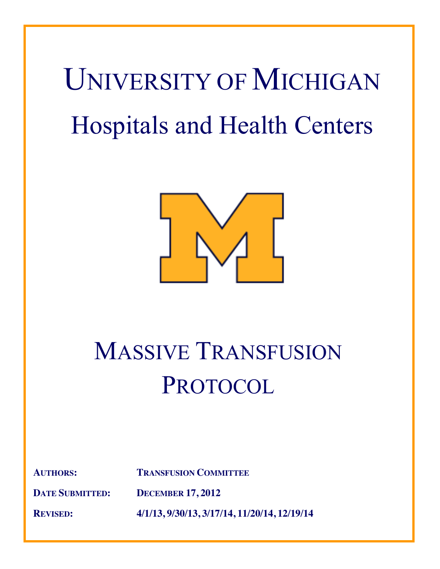# UNIVERSITY OF MICHIGAN Hospitals and Health Centers



## MASSIVE TRANSFUSION **PROTOCOL**

**AUTHORS: TRANSFUSION COMMITTEE**

**DATE SUBMITTED: DECEMBER 17, 2012**

**REVISED: 4/1/13, 9/30/13, 3/17/14, 11/20/14, 12/19/14**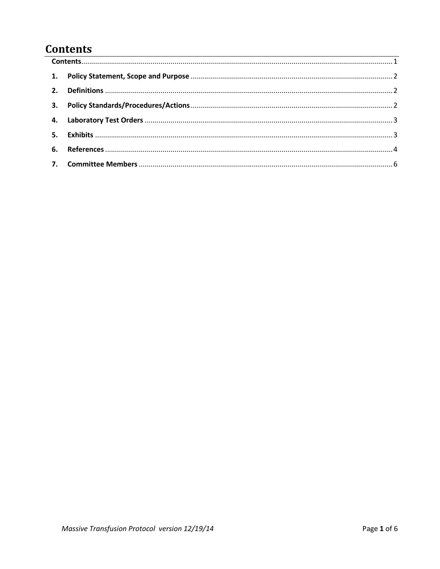### **Contents**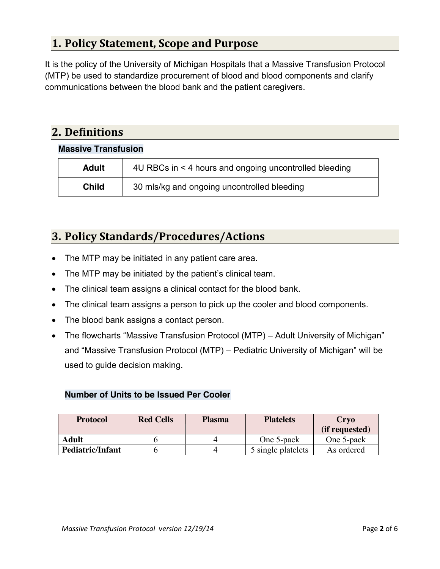#### **1. Policy Statement, Scope and Purpose**

It is the policy of the University of Michigan Hospitals that a Massive Transfusion Protocol (MTP) be used to standardize procurement of blood and blood components and clarify communications between the blood bank and the patient caregivers.

#### **2. Definitions**

#### **Massive Transfusion**

| <b>Adult</b> | 4U RBCs in < 4 hours and ongoing uncontrolled bleeding |
|--------------|--------------------------------------------------------|
| <b>Child</b> | 30 mls/kg and ongoing uncontrolled bleeding            |

#### **3. Policy Standards/Procedures/Actions**

- The MTP may be initiated in any patient care area.
- The MTP may be initiated by the patient's clinical team.
- The clinical team assigns a clinical contact for the blood bank.
- The clinical team assigns a person to pick up the cooler and blood components.
- The blood bank assigns a contact person.
- The flowcharts "Massive Transfusion Protocol (MTP) Adult University of Michigan" and "Massive Transfusion Protocol (MTP) – Pediatric University of Michigan" will be used to guide decision making.

#### **Number of Units to be Issued Per Cooler**

| <b>Protocol</b>  | <b>Red Cells</b> | <b>Plasma</b> | <b>Platelets</b>   | Crvo           |  |
|------------------|------------------|---------------|--------------------|----------------|--|
|                  |                  |               |                    | (if requested) |  |
| Adult            |                  |               | One 5-pack         | One 5-pack     |  |
| Pediatric/Infant |                  |               | 5 single platelets | As ordered     |  |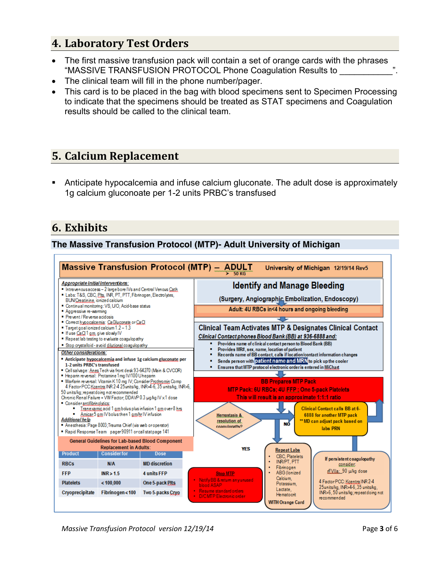#### **4. Laboratory Test Orders**

- The first massive transfusion pack will contain a set of orange cards with the phrases "MASSIVE TRANSFUSION PROTOCOL Phone Coagulation Results to \_\_\_\_\_\_\_\_\_\_\_".
- The clinical team will fill in the phone number/pager.
- x This card is to be placed in the bag with blood specimens sent to Specimen Processing to indicate that the specimens should be treated as STAT specimens and Coagulation results should be called to the clinical team.

#### **5. Calcium Replacement**

 Anticipate hypocalcemia and infuse calcium gluconate. The adult dose is approximately 1g calcium gluconoate per 1-2 units PRBC's transfused

#### **6. Exhibits**

#### **The Massive Transfusion Protocol (MTP)- Adult University of Michigan**

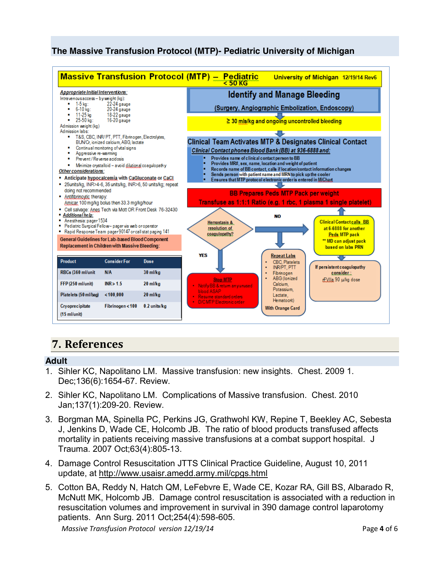#### **The Massive Transfusion Protocol (MTP)- Pediatric University of Michigan**



#### **7. References**

#### **Adult**

- 1. Sihler KC, Napolitano LM. Massive transfusion: new insights. Chest. 2009 1. Dec;136(6):1654-67. Review.
- 2. Sihler KC, Napolitano LM. Complications of Massive transfusion. Chest. 2010 Jan;137(1):209-20. Review.
- 3. Borgman MA, Spinella PC, Perkins JG, Grathwohl KW, Repine T, Beekley AC, Sebesta J, Jenkins D, Wade CE, Holcomb JB. The ratio of blood products transfused affects mortality in patients receiving massive transfusions at a combat support hospital. J Trauma. 2007 Oct;63(4):805-13.
- 4. Damage Control Resuscitation JTTS Clinical Practice Guideline, August 10, 2011 update, at http://www.usaisr.amedd.army.mil/cpgs.html
- 5. Cotton BA, Reddy N, Hatch QM, LeFebvre E, Wade CE, Kozar RA, Gill BS, Albarado R, McNutt MK, Holcomb JB. Damage control resuscitation is associated with a reduction in resuscitation volumes and improvement in survival in 390 damage control laparotomy patients. Ann Surg. 2011 Oct;254(4):598-605.

*Massive Transfusion Protocol version 12/19/14* Page **4** of 6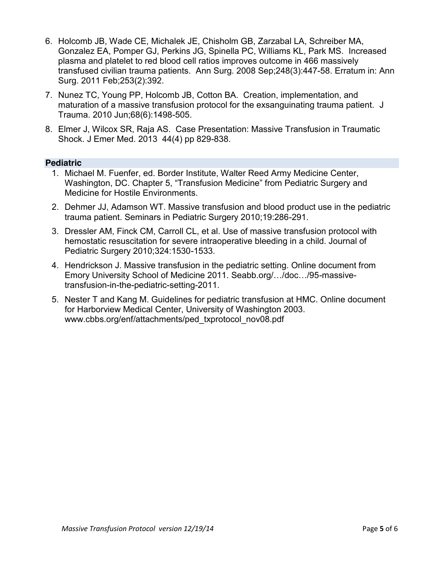- 6. Holcomb JB, Wade CE, Michalek JE, Chisholm GB, Zarzabal LA, Schreiber MA, Gonzalez EA, Pomper GJ, Perkins JG, Spinella PC, Williams KL, Park MS. Increased plasma and platelet to red blood cell ratios improves outcome in 466 massively transfused civilian trauma patients. Ann Surg. 2008 Sep;248(3):447-58. Erratum in: Ann Surg. 2011 Feb;253(2):392.
- 7. Nunez TC, Young PP, Holcomb JB, Cotton BA. Creation, implementation, and maturation of a massive transfusion protocol for the exsanguinating trauma patient. J Trauma. 2010 Jun;68(6):1498-505.
- 8. Elmer J, Wilcox SR, Raja AS. Case Presentation: Massive Transfusion in Traumatic Shock. J Emer Med. 2013 44(4) pp 829-838.

#### **Pediatric**

- 1. Michael M. Fuenfer, ed. Border Institute, Walter Reed Army Medicine Center, Washington, DC. Chapter 5, "Transfusion Medicine" from Pediatric Surgery and Medicine for Hostile Environments.
- 2. Dehmer JJ, Adamson WT. Massive transfusion and blood product use in the pediatric trauma patient. Seminars in Pediatric Surgery 2010;19:286-291.
- 3. Dressler AM, Finck CM, Carroll CL, et al. Use of massive transfusion protocol with hemostatic resuscitation for severe intraoperative bleeding in a child. Journal of Pediatric Surgery 2010;324:1530-1533.
- 4. Hendrickson J. Massive transfusion in the pediatric setting. Online document from Emory University School of Medicine 2011. Seabb.org/…/doc…/95-massivetransfusion-in-the-pediatric-setting-2011.
- 5. Nester T and Kang M. Guidelines for pediatric transfusion at HMC. Online document for Harborview Medical Center, University of Washington 2003. www.cbbs.org/enf/attachments/ped\_txprotocol\_nov08.pdf